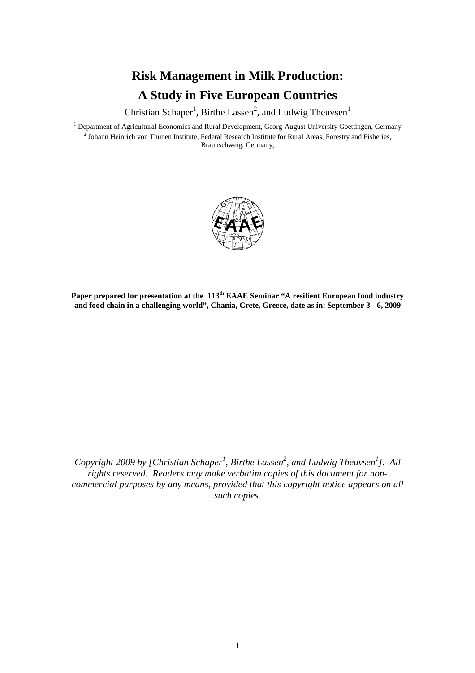# **Risk Management in Milk Production: A Study in Five European Countries**

Christian Schaper<sup>1</sup>, Birthe Lassen<sup>2</sup>, and Ludwig Theuvsen<sup>1</sup>

<sup>1</sup> Department of Agricultural Economics and Rural Development, Georg-August University Goettingen, Germany <sup>2</sup> Johann Heinrich von Thünen Institute, Federal Research Institute for Rural Areas, Forestry and Fisheries, Braunschweig, Germany,



**Paper prepared for presentation at the 113th EAAE Seminar "A resilient European food industry and food chain in a challenging world", Chania, Crete, Greece, date as in: September 3 - 6, 2009** 

Copyright 2009 by [Christian Schaper<sup>1</sup>, Birthe Lassen<sup>2</sup>, and Ludwig Theuvsen<sup>1</sup>]. All *rights reserved. Readers may make verbatim copies of this document for noncommercial purposes by any means, provided that this copyright notice appears on all such copies.*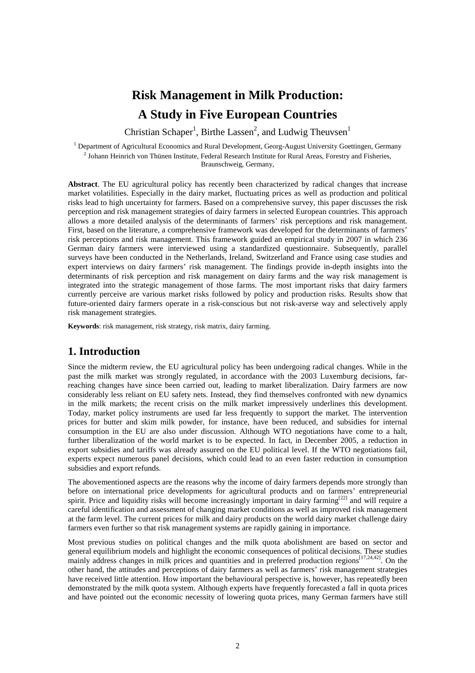# **Risk Management in Milk Production: A Study in Five European Countries**

Christian Schaper<sup>1</sup>, Birthe Lassen<sup>2</sup>, and Ludwig Theuvsen<sup>1</sup>

<sup>1</sup> Department of Agricultural Economics and Rural Development, Georg-August University Goettingen, Germany  $2$  Johann Heinrich von Thünen Institute, Federal Research Institute for Rural Areas, Forestry and Fisheries, Braunschweig, Germany,

**Abstract**. The EU agricultural policy has recently been characterized by radical changes that increase market volatilities. Especially in the dairy market, fluctuating prices as well as production and political risks lead to high uncertainty for farmers. Based on a comprehensive survey, this paper discusses the risk perception and risk management strategies of dairy farmers in selected European countries. This approach allows a more detailed analysis of the determinants of farmers' risk perceptions and risk management. First, based on the literature, a comprehensive framework was developed for the determinants of farmers' risk perceptions and risk management. This framework guided an empirical study in 2007 in which 236 German dairy farmers were interviewed using a standardized questionnaire. Subsequently, parallel surveys have been conducted in the Netherlands, Ireland, Switzerland and France using case studies and expert interviews on dairy farmers' risk management. The findings provide in-depth insights into the determinants of risk perception and risk management on dairy farms and the way risk management is integrated into the strategic management of those farms. The most important risks that dairy farmers currently perceive are various market risks followed by policy and production risks. Results show that future-oriented dairy farmers operate in a risk-conscious but not risk-averse way and selectively apply risk management strategies.

**Keywords**: risk management, risk strategy, risk matrix, dairy farming.

# **1. Introduction**

Since the midterm review, the EU agricultural policy has been undergoing radical changes. While in the past the milk market was strongly regulated, in accordance with the 2003 Luxemburg decisions, farreaching changes have since been carried out, leading to market liberalization. Dairy farmers are now considerably less reliant on EU safety nets. Instead, they find themselves confronted with new dynamics in the milk markets; the recent crisis on the milk market impressively underlines this development. Today, market policy instruments are used far less frequently to support the market. The intervention prices for butter and skim milk powder, for instance, have been reduced, and subsidies for internal consumption in the EU are also under discussion. Although WTO negotiations have come to a halt, further liberalization of the world market is to be expected. In fact, in December 2005, a reduction in export subsidies and tariffs was already assured on the EU political level. If the WTO negotiations fail, experts expect numerous panel decisions, which could lead to an even faster reduction in consumption subsidies and export refunds.

The abovementioned aspects are the reasons why the income of dairy farmers depends more strongly than before on international price developments for agricultural products and on farmers' entrepreneurial spirit. Price and liquidity risks will become increasingly important in dairy farming<sup>[22]</sup> and will require a careful identification and assessment of changing market conditions as well as improved risk management at the farm level. The current prices for milk and dairy products on the world dairy market challenge dairy farmers even further so that risk management systems are rapidly gaining in importance.

Most previous studies on political changes and the milk quota abolishment are based on sector and general equilibrium models and highlight the economic consequences of political decisions. These studies mainly address changes in milk prices and quantities and in preferred production regions<sup>[17,24,42]</sup>. On the other hand, the attitudes and perceptions of dairy farmers as well as farmers' risk management strategies have received little attention. How important the behavioural perspective is, however, has repeatedly been demonstrated by the milk quota system. Although experts have frequently forecasted a fall in quota prices and have pointed out the economic necessity of lowering quota prices, many German farmers have still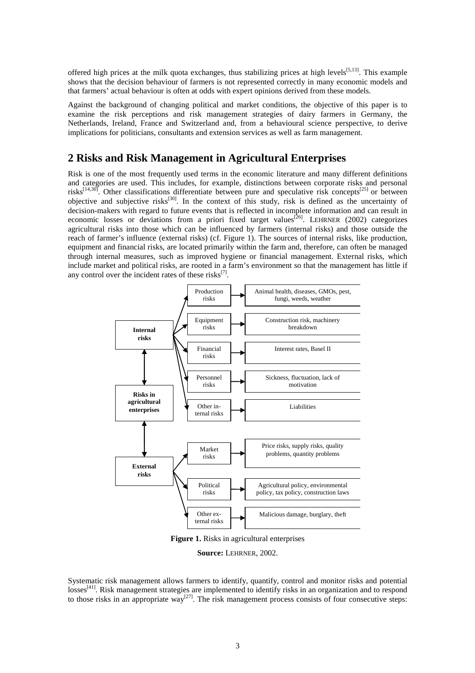offered high prices at the milk quota exchanges, thus stabilizing prices at high levels<sup>[5,13]</sup>. This example shows that the decision behaviour of farmers is not represented correctly in many economic models and that farmers' actual behaviour is often at odds with expert opinions derived from these models.

Against the background of changing political and market conditions, the objective of this paper is to examine the risk perceptions and risk management strategies of dairy farmers in Germany, the Netherlands, Ireland, France and Switzerland and, from a behavioural science perspective, to derive implications for politicians, consultants and extension services as well as farm management.

# **2 Risks and Risk Management in Agricultural Enterprises**

Risk is one of the most frequently used terms in the economic literature and many different definitions and categories are used. This includes, for example, distinctions between corporate risks and personal risks<sup>[14,30]</sup>. Other classifications differentiate between pure and speculative risk concepts<sup>[25]</sup> or between objective and subjective risks[30]. In the context of this study, risk is defined as the uncertainty of decision-makers with regard to future events that is reflected in incomplete information and can result in economic losses or deviations from a priori fixed target values<sup>[26]</sup>. LEHRNER (2002) categorizes agricultural risks into those which can be influenced by farmers (internal risks) and those outside the reach of farmer's influence (external risks) (cf. Figure 1). The sources of internal risks, like production, equipment and financial risks, are located primarily within the farm and, therefore, can often be managed through internal measures, such as improved hygiene or financial management. External risks, which include market and political risks, are rooted in a farm's environment so that the management has little if any control over the incident rates of these risks $^{[7]}$ .



**Figure 1.** Risks in agricultural enterprises

**Source:** LEHRNER, 2002.

Systematic risk management allows farmers to identify, quantify, control and monitor risks and potential losses<sup>[41]</sup>. Risk management strategies are implemented to identify risks in an organization and to respond to those risks in an appropriate way<sup>[27]</sup>. The risk management process consists of four consecutive steps: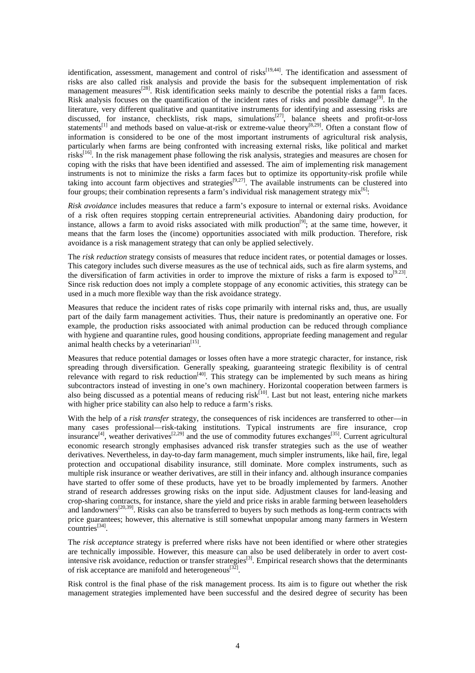identification, assessment, management and control of risks<sup>[19,44]</sup>. The identification and assessment of risks are also called risk analysis and provide the basis for the subsequent implementation of risk management measures<sup>[28]</sup>. Risk identification seeks mainly to describe the potential risks a farm faces. Risk analysis focuses on the quantification of the incident rates of risks and possible damage<sup>[9]</sup>. In the literature, very different qualitative and quantitative instruments for identifying and assessing risks are discussed, for instance, checklists, risk maps, simulations<sup>[27]</sup>, balance sheets and profit-or-loss statements<sup>[1]</sup> and methods based on value-at-risk or extreme-value theory<sup>[8,29]</sup>. Often a constant flow of information is considered to be one of the most important instruments of agricultural risk analysis, particularly when farms are being confronted with increasing external risks, like political and market risks<sup>[16]</sup>. In the risk management phase following the risk analysis, strategies and measures are chosen for coping with the risks that have been identified and assessed. The aim of implementing risk management instruments is not to minimize the risks a farm faces but to optimize its opportunity-risk profile while taking into account farm objectives and strategies<sup>[9,27]</sup>. The available instruments can be clustered into four groups; their combination represents a farm's individual risk management strategy  $mix^{[6]}$ :

*Risk avoidance* includes measures that reduce a farm's exposure to internal or external risks. Avoidance of a risk often requires stopping certain entrepreneurial activities. Abandoning dairy production, for instance, allows a farm to avoid risks associated with milk production<sup>[9]</sup>; at the same time, however, it means that the farm loses the (income) opportunities associated with milk production. Therefore, risk avoidance is a risk management strategy that can only be applied selectively.

The *risk reduction* strategy consists of measures that reduce incident rates, or potential damages or losses. This category includes such diverse measures as the use of technical aids, such as fire alarm systems, and the diversification of farm activities in order to improve the mixture of risks a farm is exposed to<sup>[9.23]</sup>. Since risk reduction does not imply a complete stoppage of any economic activities, this strategy can be used in a much more flexible way than the risk avoidance strategy.

Measures that reduce the incident rates of risks cope primarily with internal risks and, thus, are usually part of the daily farm management activities. Thus, their nature is predominantly an operative one. For example, the production risks assoociated with animal production can be reduced through compliance with hygiene and quarantine rules, good housing conditions, appropriate feeding management and regular animal health checks by a veterinarian<sup>[15]</sup>.

Measures that reduce potential damages or losses often have a more strategic character, for instance, risk spreading through diversification. Generally speaking, guaranteeing strategic flexibility is of central relevance with regard to risk reduction<sup>[40]</sup>. This strategy can be implemented by such means as hiring subcontractors instead of investing in one's own machinery. Horizontal cooperation between farmers is also being discussed as a potential means of reducing risk<sup>[10]</sup>. Last but not least, entering niche markets with higher price stability can also help to reduce a farm's risks.

With the help of a *risk transfer* strategy, the consequences of risk incidences are transferred to other—in many cases professional—risk-taking institutions. Typical instruments are fire insurance, crop insurance<sup>[4]</sup>, weather derivatives<sup>[2,29]</sup> and the use of commodity futures exchanges<sup>[35]</sup>. Current agricultural economic research strongly emphasises advanced risk transfer strategies such as the use of weather derivatives. Nevertheless, in day-to-day farm management, much simpler instruments, like hail, fire, legal protection and occupational disability insurance, still dominate. More complex instruments, such as multiple risk insurance or weather derivatives, are still in their infancy and. although insurance companies have started to offer some of these products, have yet to be broadly implemented by farmers. Another strand of research addresses growing risks on the input side. Adjustment clauses for land-leasing and crop-sharing contracts, for instance, share the yield and price risks in arable farming between leaseholders and landowners<sup>[20,39]</sup>. Risks can also be transferred to buyers by such methods as long-term contracts with price guarantees; however, this alternative is still somewhat unpopular among many farmers in Western  $countries^{[34]}.$ 

The *risk acceptance* strategy is preferred where risks have not been identified or where other strategies are technically impossible. However, this measure can also be used deliberately in order to avert costintensive risk avoidance, reduction or transfer strategies<sup>[3]</sup>. Empirical research shows that the determinants of risk acceptance are manifold and heterogeneous $^{[3\bar{2}]}$ .

Risk control is the final phase of the risk management process. Its aim is to figure out whether the risk management strategies implemented have been successful and the desired degree of security has been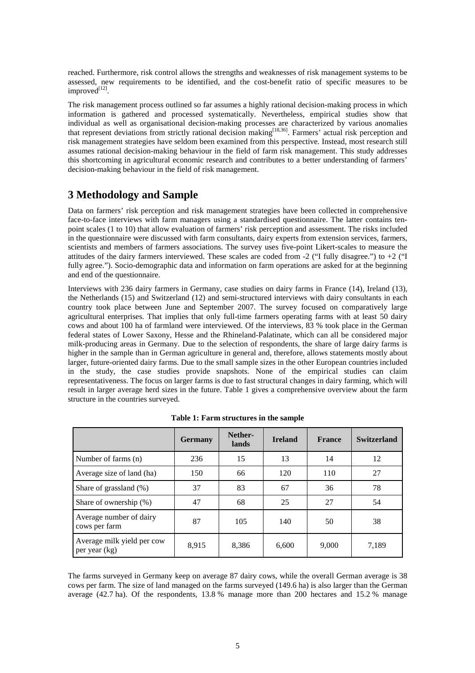reached. Furthermore, risk control allows the strengths and weaknesses of risk management systems to be assessed, new requirements to be identified, and the cost-benefit ratio of specific measures to be improved<sup>[12]</sup>.

The risk management process outlined so far assumes a highly rational decision-making process in which information is gathered and processed systematically. Nevertheless, empirical studies show that individual as well as organisational decision-making processes are characterized by various anomalies that represent deviations from strictly rational decision making<sup>[18,36]</sup>. Farmers' actual risk perception and risk management strategies have seldom been examined from this perspective. Instead, most research still assumes rational decision-making behaviour in the field of farm risk management. This study addresses this shortcoming in agricultural economic research and contributes to a better understanding of farmers' decision-making behaviour in the field of risk management.

# **3 Methodology and Sample**

Data on farmers' risk perception and risk management strategies have been collected in comprehensive face-to-face interviews with farm managers using a standardised questionnaire. The latter contains tenpoint scales (1 to 10) that allow evaluation of farmers' risk perception and assessment. The risks included in the questionnaire were discussed with farm consultants, dairy experts from extension services, farmers, scientists and members of farmers associations. The survey uses five-point Likert-scales to measure the attitudes of the dairy farmers interviewed. These scales are coded from -2 ("I fully disagree.") to +2 ("I fully agree."). Socio-demographic data and information on farm operations are asked for at the beginning and end of the questionnaire.

Interviews with 236 dairy farmers in Germany, case studies on dairy farms in France (14), Ireland (13), the Netherlands (15) and Switzerland (12) and semi-structured interviews with dairy consultants in each country took place between June and September 2007. The survey focused on comparatively large agricultural enterprises. That implies that only full-time farmers operating farms with at least 50 dairy cows and about 100 ha of farmland were interviewed. Of the interviews, 83 % took place in the German federal states of Lower Saxony, Hesse and the Rhineland-Palatinate, which can all be considered major milk-producing areas in Germany. Due to the selection of respondents, the share of large dairy farms is higher in the sample than in German agriculture in general and, therefore, allows statements mostly about larger, future-oriented dairy farms. Due to the small sample sizes in the other European countries included in the study, the case studies provide snapshots. None of the empirical studies can claim representativeness. The focus on larger farms is due to fast structural changes in dairy farming, which will result in larger average herd sizes in the future. Table 1 gives a comprehensive overview about the farm structure in the countries surveyed.

|                                             | <b>Germany</b> | Nether-<br>lands | <b>Ireland</b> | <b>France</b> | <b>Switzerland</b> |
|---------------------------------------------|----------------|------------------|----------------|---------------|--------------------|
| Number of farms (n)                         | 236            | 15               | 13             | 14            | 12                 |
| Average size of land (ha)                   | 150            | 66               | 120            | 110           | 27                 |
| Share of grassland (%)                      | 37             | 83               | 67             | 36            | 78                 |
| Share of ownership $(\%)$                   | 47             | 68               | 25             | 27            | 54                 |
| Average number of dairy<br>cows per farm    | 87             | 105              | 140            | 50            | 38                 |
| Average milk yield per cow<br>per year (kg) | 8,915          | 8,386            | 6,600          | 9,000         | 7,189              |

|  | Table 1: Farm structures in the sample |  |  |
|--|----------------------------------------|--|--|
|--|----------------------------------------|--|--|

The farms surveyed in Germany keep on average 87 dairy cows, while the overall German average is 38 cows per farm. The size of land managed on the farms surveyed (149.6 ha) is also larger than the German average (42.7 ha). Of the respondents, 13.8 % manage more than 200 hectares and 15.2 % manage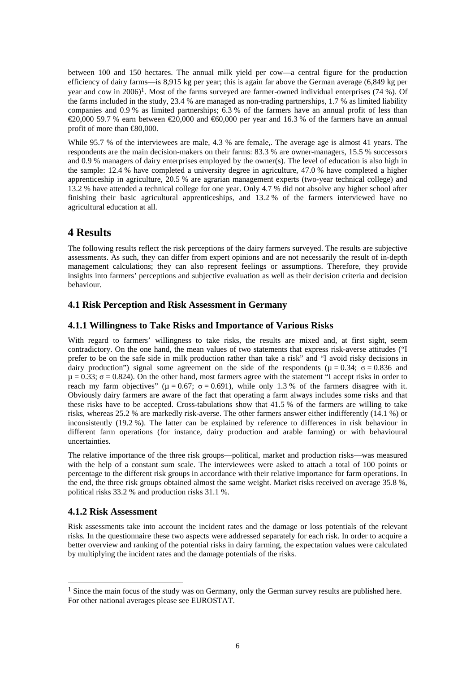between 100 and 150 hectares. The annual milk yield per cow—a central figure for the production efficiency of dairy farms—is 8,915 kg per year; this is again far above the German average (6,849 kg per year and cow in  $2006$ <sup>1</sup>. Most of the farms surveyed are farmer-owned individual enterprises (74 %). Of the farms included in the study, 23.4 % are managed as non-trading partnerships, 1.7 % as limited liability companies and 0.9 % as limited partnerships; 6.3 % of the farmers have an annual profit of less than €20,000 59.7 % earn between €20,000 and €60,000 per ear and 16.3 % of the farmers have an annual profit of more than €80,000.

While 95.7 % of the interviewees are male, 4.3 % are female,. The average age is almost 41 years. The respondents are the main decision-makers on their farms: 83.3 % are owner-managers, 15.5 % successors and 0.9 % managers of dairy enterprises employed by the owner(s). The level of education is also high in the sample: 12.4 % have completed a university degree in agriculture, 47.0 % have completed a higher apprenticeship in agriculture, 20.5 % are agrarian management experts (two-year technical college) and 13.2 % have attended a technical college for one year. Only 4.7 % did not absolve any higher school after finishing their basic agricultural apprenticeships, and 13.2 % of the farmers interviewed have no agricultural education at all.

# **4 Results**

The following results reflect the risk perceptions of the dairy farmers surveyed. The results are subjective assessments. As such, they can differ from expert opinions and are not necessarily the result of in-depth management calculations; they can also represent feelings or assumptions. Therefore, they provide insights into farmers' perceptions and subjective evaluation as well as their decision criteria and decision behaviour.

# **4.1 Risk Perception and Risk Assessment in Germany**

### **4.1.1 Willingness to Take Risks and Importance of Various Risks**

With regard to farmers' willingness to take risks, the results are mixed and, at first sight, seem contradictory. On the one hand, the mean values of two statements that express risk-averse attitudes ("I prefer to be on the safe side in milk production rather than take a risk" and "I avoid risky decisions in dairy production") signal some agreement on the side of the respondents ( $\mu = 0.34$ ;  $\sigma = 0.836$  and  $\mu = 0.33$ ;  $\sigma = 0.824$ ). On the other hand, most farmers agree with the statement "I accept risks in order to reach my farm objectives" ( $\mu = 0.67$ ;  $\sigma = 0.691$ ), while only 1.3 % of the farmers disagree with it. Obviously dairy farmers are aware of the fact that operating a farm always includes some risks and that these risks have to be accepted. Cross-tabulations show that 41.5 % of the farmers are willing to take risks, whereas 25.2 % are markedly risk-averse. The other farmers answer either indifferently (14.1 %) or inconsistently (19.2 %). The latter can be explained by reference to differences in risk behaviour in different farm operations (for instance, dairy production and arable farming) or with behavioural uncertainties.

The relative importance of the three risk groups—political, market and production risks—was measured with the help of a constant sum scale. The interviewees were asked to attach a total of 100 points or percentage to the different risk groups in accordance with their relative importance for farm operations. In the end, the three risk groups obtained almost the same weight. Market risks received on average 35.8 %, political risks 33.2 % and production risks 31.1 %.

# **4.1.2 Risk Assessment**

l

Risk assessments take into account the incident rates and the damage or loss potentials of the relevant risks. In the questionnaire these two aspects were addressed separately for each risk. In order to acquire a better overview and ranking of the potential risks in dairy farming, the expectation values were calculated by multiplying the incident rates and the damage potentials of the risks.

<sup>&</sup>lt;sup>1</sup> Since the main focus of the study was on Germany, only the German survey results are published here. For other national averages please see EUROSTAT.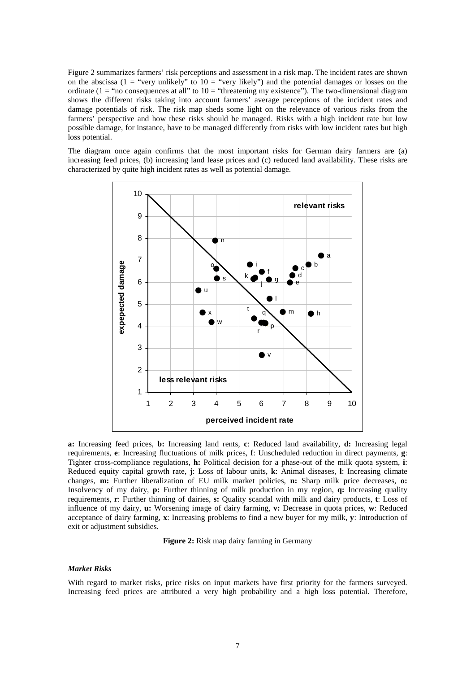Figure 2 summarizes farmers' risk perceptions and assessment in a risk map. The incident rates are shown on the abscissa (1 = "very unlikely" to  $10 =$  "very likely") and the potential damages or losses on the ordinate ( $1 =$  "no consequences at all" to  $10 =$  "threatening my existence"). The two-dimensional diagram shows the different risks taking into account farmers' average perceptions of the incident rates and damage potentials of risk. The risk map sheds some light on the relevance of various risks from the farmers' perspective and how these risks should be managed. Risks with a high incident rate but low possible damage, for instance, have to be managed differently from risks with low incident rates but high loss potential.

The diagram once again confirms that the most important risks for German dairy farmers are (a) increasing feed prices, (b) increasing land lease prices and (c) reduced land availability. These risks are characterized by quite high incident rates as well as potential damage.



**a:** Increasing feed prices, **b:** Increasing land rents, **c**: Reduced land availability, **d:** Increasing legal requirements, **e**: Increasing fluctuations of milk prices, **f**: Unscheduled reduction in direct payments, **g**: Tighter cross-compliance regulations, **h:** Political decision for a phase-out of the milk quota system, **i**: Reduced equity capital growth rate, **j**: Loss of labour units, **k**: Animal diseases, **l**: Increasing climate changes, **m:** Further liberalization of EU milk market policies, **n:** Sharp milk price decreases, **o:** Insolvency of my dairy, **p:** Further thinning of milk production in my region, **q:** Increasing quality requirements, **r**: Further thinning of dairies, **s:** Quality scandal with milk and dairy products, **t**: Loss of influence of my dairy, **u:** Worsening image of dairy farming, **v:** Decrease in quota prices, **w**: Reduced acceptance of dairy farming, **x**: Increasing problems to find a new buyer for my milk, **y**: Introduction of exit or adjustment subsidies.

**Figure 2:** Risk map dairy farming in Germany

#### *Market Risks*

With regard to market risks, price risks on input markets have first priority for the farmers surveyed. Increasing feed prices are attributed a very high probability and a high loss potential. Therefore,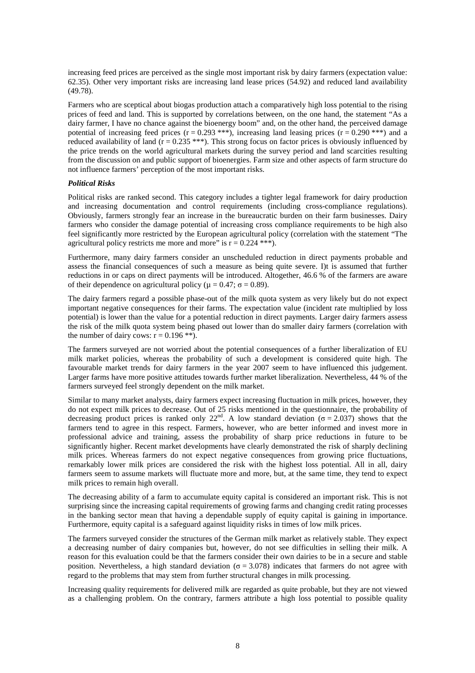increasing feed prices are perceived as the single most important risk by dairy farmers (expectation value: 62.35). Other very important risks are increasing land lease prices (54.92) and reduced land availability (49.78).

Farmers who are sceptical about biogas production attach a comparatively high loss potential to the rising prices of feed and land. This is supported by correlations between, on the one hand, the statement "As a dairy farmer, I have no chance against the bioenergy boom" and, on the other hand, the perceived damage potential of increasing feed prices  $(r = 0.293$ <sup>\*\*\*</sup>), increasing land leasing prices  $(r = 0.290$ <sup>\*\*\*</sup>) and a reduced availability of land ( $r = 0.235$  \*\*\*). This strong focus on factor prices is obviously influenced by the price trends on the world agricultural markets during the survey period and land scarcities resulting from the discussion on and public support of bioenergies. Farm size and other aspects of farm structure do not influence farmers' perception of the most important risks.

#### *Political Risks*

Political risks are ranked second. This category includes a tighter legal framework for dairy production and increasing documentation and control requirements (including cross-compliance regulations). Obviously, farmers strongly fear an increase in the bureaucratic burden on their farm businesses. Dairy farmers who consider the damage potential of increasing cross compliance requirements to be high also feel significantly more restricted by the European agricultural policy (correlation with the statement "The agricultural policy restricts me more and more" is  $r = 0.224$  \*\*\*).

Furthermore, many dairy farmers consider an unscheduled reduction in direct payments probable and assess the financial consequences of such a measure as being quite severe. I)t is assumed that further reductions in or caps on direct payments will be introduced. Altogether, 46.6 % of the farmers are aware of their dependence on agricultural policy ( $\mu = 0.47$ ;  $\sigma = 0.89$ ).

The dairy farmers regard a possible phase-out of the milk quota system as very likely but do not expect important negative consequences for their farms. The expectation value (incident rate multiplied by loss potential) is lower than the value for a potential reduction in direct payments. Larger dairy farmers assess the risk of the milk quota system being phased out lower than do smaller dairy farmers (correlation with the number of dairy cows:  $r = 0.196$ \*\*).

The farmers surveyed are not worried about the potential consequences of a further liberalization of EU milk market policies, whereas the probability of such a development is considered quite high. The favourable market trends for dairy farmers in the year 2007 seem to have influenced this judgement. Larger farms have more positive attitudes towards further market liberalization. Nevertheless, 44 % of the farmers surveyed feel strongly dependent on the milk market.

Similar to many market analysts, dairy farmers expect increasing fluctuation in milk prices, however, they do not expect milk prices to decrease. Out of 25 risks mentioned in the questionnaire, the probability of decreasing product prices is ranked only 22<sup>nd</sup>. A low standard deviation ( $\sigma$  = 2.037) shows that the farmers tend to agree in this respect. Farmers, however, who are better informed and invest more in professional advice and training, assess the probability of sharp price reductions in future to be significantly higher. Recent market developments have clearly demonstrated the risk of sharply declining milk prices. Whereas farmers do not expect negative consequences from growing price fluctuations, remarkably lower milk prices are considered the risk with the highest loss potential. All in all, dairy farmers seem to assume markets will fluctuate more and more, but, at the same time, they tend to expect milk prices to remain high overall.

The decreasing ability of a farm to accumulate equity capital is considered an important risk. This is not surprising since the increasing capital requirements of growing farms and changing credit rating processes in the banking sector mean that having a dependable supply of equity capital is gaining in importance. Furthermore, equity capital is a safeguard against liquidity risks in times of low milk prices.

The farmers surveyed consider the structures of the German milk market as relatively stable. They expect a decreasing number of dairy companies but, however, do not see difficulties in selling their milk. A reason for this evaluation could be that the farmers consider their own dairies to be in a secure and stable position. Nevertheless, a high standard deviation ( $\sigma$  = 3.078) indicates that farmers do not agree with regard to the problems that may stem from further structural changes in milk processing.

Increasing quality requirements for delivered milk are regarded as quite probable, but they are not viewed as a challenging problem. On the contrary, farmers attribute a high loss potential to possible quality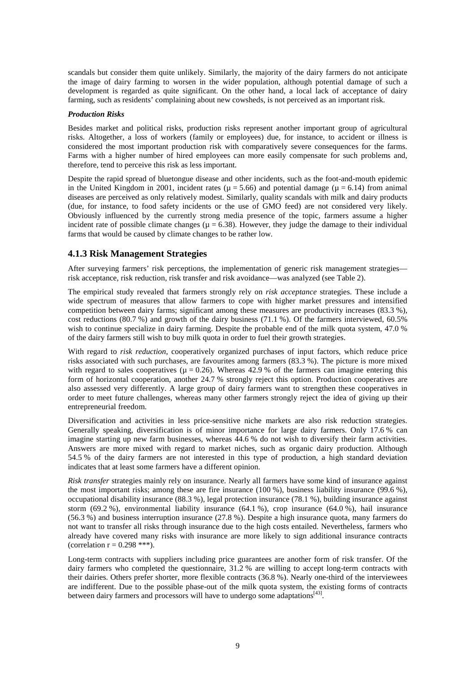scandals but consider them quite unlikely. Similarly, the majority of the dairy farmers do not anticipate the image of dairy farming to worsen in the wider population, although potential damage of such a development is regarded as quite significant. On the other hand, a local lack of acceptance of dairy farming, such as residents' complaining about new cowsheds, is not perceived as an important risk.

#### *Production Risks*

Besides market and political risks, production risks represent another important group of agricultural risks. Altogether, a loss of workers (family or employees) due, for instance, to accident or illness is considered the most important production risk with comparatively severe consequences for the farms. Farms with a higher number of hired employees can more easily compensate for such problems and, therefore, tend to perceive this risk as less important.

Despite the rapid spread of bluetongue disease and other incidents, such as the foot-and-mouth epidemic in the United Kingdom in 2001, incident rates ( $\mu = 5.66$ ) and potential damage ( $\mu = 6.14$ ) from animal diseases are perceived as only relatively modest. Similarly, quality scandals with milk and dairy products (due, for instance, to food safety incidents or the use of GMO feed) are not considered very likely. Obviously influenced by the currently strong media presence of the topic, farmers assume a higher incident rate of possible climate changes ( $\mu = 6.38$ ). However, they judge the damage to their individual farms that would be caused by climate changes to be rather low.

### **4.1.3 Risk Management Strategies**

After surveying farmers' risk perceptions, the implementation of generic risk management strategies risk acceptance, risk reduction, risk transfer and risk avoidance—was analyzed (see Table 2).

The empirical study revealed that farmers strongly rely on *risk acceptance* strategies. These include a wide spectrum of measures that allow farmers to cope with higher market pressures and intensified competition between dairy farms; significant among these measures are productivity increases (83.3 %), cost reductions (80.7 %) and growth of the dairy business (71.1 %). Of the farmers interviewed, 60.5% wish to continue specialize in dairy farming. Despite the probable end of the milk quota system, 47.0 % of the dairy farmers still wish to buy milk quota in order to fuel their growth strategies.

With regard to *risk reduction*, cooperatively organized purchases of input factors, which reduce price risks associated with such purchases, are favourites among farmers (83.3 %). The picture is more mixed with regard to sales cooperatives ( $\mu = 0.26$ ). Whereas 42.9 % of the farmers can imagine entering this form of horizontal cooperation, another 24.7 % strongly reject this option. Production cooperatives are also assessed very differently. A large group of dairy farmers want to strengthen these cooperatives in order to meet future challenges, whereas many other farmers strongly reject the idea of giving up their entrepreneurial freedom.

Diversification and activities in less price-sensitive niche markets are also risk reduction strategies. Generally speaking, diversification is of minor importance for large dairy farmers. Only 17.6 % can imagine starting up new farm businesses, whereas 44.6 % do not wish to diversify their farm activities. Answers are more mixed with regard to market niches, such as organic dairy production. Although 54.5 % of the dairy farmers are not interested in this type of production, a high standard deviation indicates that at least some farmers have a different opinion.

*Risk transfer* strategies mainly rely on insurance. Nearly all farmers have some kind of insurance against the most important risks; among these are fire insurance (100 %), business liability insurance (99.6 %), occupational disability insurance (88.3 %), legal protection insurance (78.1 %), building insurance against storm (69.2 %), environmental liability insurance (64.1 %), crop insurance (64.0 %), hail insurance (56.3 %) and business interruption insurance (27.8 %). Despite a high insurance quota, many farmers do not want to transfer all risks through insurance due to the high costs entailed. Nevertheless, farmers who already have covered many risks with insurance are more likely to sign additional insurance contracts (correlation  $r = 0.298$  \*\*\*).

Long-term contracts with suppliers including price guarantees are another form of risk transfer. Of the dairy farmers who completed the questionnaire, 31.2 % are willing to accept long-term contracts with their dairies. Others prefer shorter, more flexible contracts (36.8 %). Nearly one-third of the interviewees are indifferent. Due to the possible phase-out of the milk quota system, the existing forms of contracts between dairy farmers and processors will have to undergo some adaptations<sup>[43]</sup>.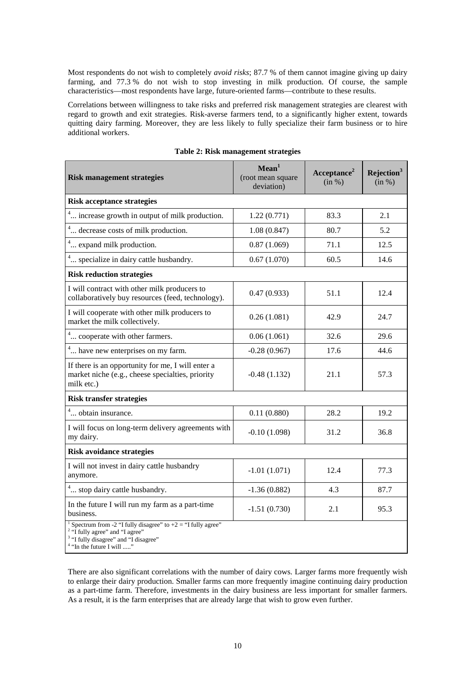Most respondents do not wish to completely *avoid risks*; 87.7 % of them cannot imagine giving up dairy farming, and 77.3 % do not wish to stop investing in milk production. Of course, the sample characteristics—most respondents have large, future-oriented farms—contribute to these results.

Correlations between willingness to take risks and preferred risk management strategies are clearest with regard to growth and exit strategies. Risk-averse farmers tend, to a significantly higher extent, towards quitting dairy farming. Moreover, they are less likely to fully specialize their farm business or to hire additional workers.

| <b>Risk management strategies</b>                                                                                                                                                                                  | Mean <sup>1</sup><br>(root mean square<br>deviation) | Acceptance <sup>2</sup><br>(in %) | Rejection <sup>3</sup><br>(in %) |
|--------------------------------------------------------------------------------------------------------------------------------------------------------------------------------------------------------------------|------------------------------------------------------|-----------------------------------|----------------------------------|
| <b>Risk acceptance strategies</b>                                                                                                                                                                                  |                                                      |                                   |                                  |
| <sup>4</sup> increase growth in output of milk production.                                                                                                                                                         | 1.22(0.771)                                          | 83.3                              | 2.1                              |
| <sup>4</sup> decrease costs of milk production.                                                                                                                                                                    | 1.08(0.847)                                          | 80.7                              | 5.2                              |
| <sup>4</sup> expand milk production.                                                                                                                                                                               | 0.87(1.069)                                          | 71.1                              | 12.5                             |
| <sup>4</sup> specialize in dairy cattle husbandry.                                                                                                                                                                 | 0.67(1.070)                                          | 60.5                              | 14.6                             |
| <b>Risk reduction strategies</b>                                                                                                                                                                                   |                                                      |                                   |                                  |
| I will contract with other milk producers to<br>collaboratively buy resources (feed, technology).                                                                                                                  | 0.47(0.933)                                          | 51.1                              | 12.4                             |
| I will cooperate with other milk producers to<br>market the milk collectively.                                                                                                                                     | 0.26(1.081)                                          | 42.9                              | 24.7                             |
| $4$ cooperate with other farmers.                                                                                                                                                                                  | 0.06(1.061)                                          | 32.6                              | 29.6                             |
| <sup>4</sup> have new enterprises on my farm.                                                                                                                                                                      | $-0.28(0.967)$                                       | 17.6                              | 44.6                             |
| If there is an opportunity for me, I will enter a<br>market niche (e.g., cheese specialties, priority<br>milk etc.)                                                                                                | $-0.48(1.132)$                                       | 21.1                              | 57.3                             |
| <b>Risk transfer strategies</b>                                                                                                                                                                                    |                                                      |                                   |                                  |
| <sup>4</sup> obtain insurance.                                                                                                                                                                                     | 0.11(0.880)                                          | 28.2                              | 19.2                             |
| I will focus on long-term delivery agreements with<br>my dairy.                                                                                                                                                    | $-0.10(1.098)$                                       | 31.2                              | 36.8                             |
| <b>Risk avoidance strategies</b>                                                                                                                                                                                   |                                                      |                                   |                                  |
| I will not invest in dairy cattle husbandry<br>anymore.                                                                                                                                                            | $-1.01(1.071)$                                       | 12.4                              | 77.3                             |
| <sup>4</sup> stop dairy cattle husbandry.                                                                                                                                                                          | $-1.36(0.882)$                                       | 4.3                               | 87.7                             |
| In the future I will run my farm as a part-time<br>business.                                                                                                                                                       | $-1.51(0.730)$                                       | 2.1                               | 95.3                             |
| <sup>1</sup> Spectrum from -2 "I fully disagree" to +2 = "I fully agree"<br><sup>2</sup> "I fully agree" and "I agree"<br><sup>3</sup> "I fully disagree" and "I disagree"<br><sup>4</sup> "In the future I will " |                                                      |                                   |                                  |

### **Table 2: Risk management strategies**

There are also significant correlations with the number of dairy cows. Larger farms more frequently wish to enlarge their dairy production. Smaller farms can more frequently imagine continuing dairy production as a part-time farm. Therefore, investments in the dairy business are less important for smaller farmers. As a result, it is the farm enterprises that are already large that wish to grow even further.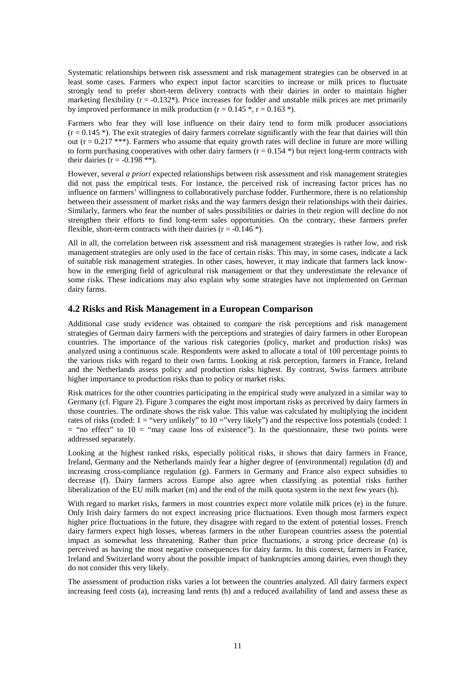Systematic relationships between risk assessment and risk management strategies can be observed in at least some cases. Farmers who expect input factor scarcities to increase or milk prices to fluctuate strongly tend to prefer short-term delivery contracts with their dairies in order to maintain higher marketing flexibility ( $r = -0.132$ <sup>\*</sup>). Price increases for fodder and unstable milk prices are met primarily by improved performance in milk production ( $r = 0.145$ ,  $r = 0.163$ ).

Farmers who fear they will lose influence on their dairy tend to form milk producer associations  $(r = 0.145 \text{ *})$ . The exit strategies of dairy farmers correlate significantly with the fear that dairies will thin out ( $r = 0.217$  \*\*\*). Farmers who assume that equity growth rates will decline in future are more willing to form purchasing cooperatives with other dairy farmers ( $r = 0.154$  \*) but reject long-term contracts with their dairies ( $r = -0.198$ \*\*).

However, several *a priori* expected relationships between risk assessment and risk management strategies did not pass the empirical tests. For instance, the perceived risk of increasing factor prices has no influence on farmers' willingness to collaboratively purchase fodder. Furthermore, there is no relationship between their assessment of market risks and the way farmers design their relationships with their dairies. Similarly, farmers who fear the number of sales possibilities or dairies in their region will decline do not strengthen their efforts to find long-term sales opportunities. On the contrary, these farmers prefer flexible, short-term contracts with their dairies ( $r = -0.146$ <sup>\*</sup>).

All in all, the correlation between risk assessment and risk management strategies is rather low, and risk management strategies are only used in the face of certain risks. This may, in some cases, indicate a lack of suitable risk management strategies. In other cases, however, it may indicate that farmers lack knowhow in the emerging field of agricultural risk management or that they underestimate the relevance of some risks. These indications may also explain why some strategies have not implemented on German dairy farms.

### **4.2 Risks and Risk Management in a European Comparison**

Additional case study evidence was obtained to compare the risk perceptions and risk management strategies of German dairy farmers with the perceptions and strategies of dairy farmers in other European countries. The importance of the various risk categories (policy, market and production risks) was analyzed using a continuous scale. Respondents were asked to allocate a total of 100 percentage points to the various risks with regard to their own farms. Looking at risk perception, farmers in France, Ireland and the Netherlands assess policy and production risks highest. By contrast, Swiss farmers attribute higher importance to production risks than to policy or market risks.

Risk matrices for the other countries participating in the empirical study were analyzed in a similar way to Germany (cf. Figure 2). Figure 3 compares the eight most important risks as perceived by dairy farmers in those countries. The ordinate shows the risk value. This value was calculated by multiplying the incident rates of risks (coded:  $1 =$  "very unlikely" to  $10 =$ "very likely") and the respective loss potentials (coded: 1  $=$  "no effect" to 10  $=$  "may cause loss of existence"). In the questionnaire, these two points were addressed separately.

Looking at the highest ranked risks, especially political risks, it shows that dairy farmers in France, Ireland, Germany and the Netherlands mainly fear a higher degree of (environmental) regulation (d) and increasing cross-compliance regulation (g). Farmers in Germany and France also expect subsidies to decrease (f). Dairy farmers across Europe also agree when classifying as potential risks further liberalization of the EU milk market (m) and the end of the milk quota system in the next few years (h).

With regard to market risks, farmers in most countries expect more volatile milk prices (e) in the future. Only Irish dairy farmers do not expect increasing price fluctuations. Even though most farmers expect higher price fluctuations in the future, they disagree with regard to the extent of potential losses. French dairy farmers expect high losses, whereas farmers in the other European countries assess the potential impact as somewhat less threatening. Rather than price fluctuations, a strong price decrease (n) is perceived as having the most negative consequences for dairy farms. In this context, farmers in France, Ireland and Switzerland worry about the possible impact of bankruptcies among dairies, even though they do not consider this very likely.

The assessment of production risks varies a lot between the countries analyzed. All dairy farmers expect increasing feed costs (a), increasing land rents (b) and a reduced availability of land and assess these as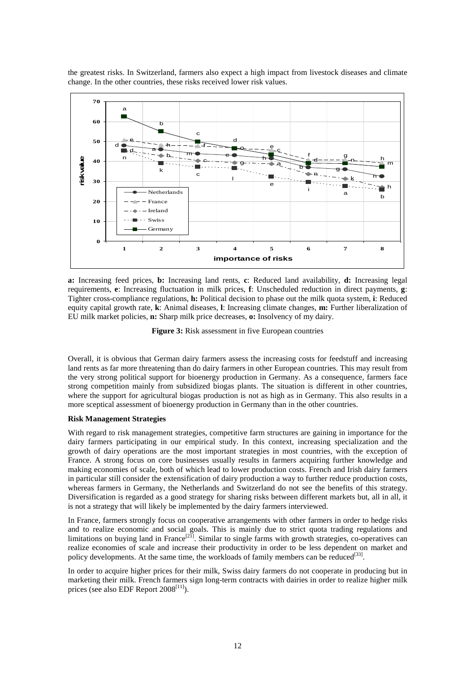the greatest risks. In Switzerland, farmers also expect a high impact from livestock diseases and climate change. In the other countries, these risks received lower risk values.



**a:** Increasing feed prices, **b:** Increasing land rents, **c**: Reduced land availability, **d:** Increasing legal requirements, **e**: Increasing fluctuation in milk prices, **f**: Unscheduled reduction in direct payments, **g**: Tighter cross-compliance regulations, **h:** Political decision to phase out the milk quota system, **i**: Reduced equity capital growth rate, **k**: Animal diseases, **l**: Increasing climate changes, **m:** Further liberalization of EU milk market policies, **n:** Sharp milk price decreases, **o:** Insolvency of my dairy.

**Figure 3:** Risk assessment in five European countries

Overall, it is obvious that German dairy farmers assess the increasing costs for feedstuff and increasing land rents as far more threatening than do dairy farmers in other European countries. This may result from the very strong political support for bioenergy production in Germany. As a consequence, farmers face strong competition mainly from subsidized biogas plants. The situation is different in other countries, where the support for agricultural biogas production is not as high as in Germany. This also results in a more sceptical assessment of bioenergy production in Germany than in the other countries.

#### **Risk Management Strategies**

With regard to risk management strategies, competitive farm structures are gaining in importance for the dairy farmers participating in our empirical study. In this context, increasing specialization and the growth of dairy operations are the most important strategies in most countries, with the exception of France. A strong focus on core businesses usually results in farmers acquiring further knowledge and making economies of scale, both of which lead to lower production costs. French and Irish dairy farmers in particular still consider the extensification of dairy production a way to further reduce production costs, whereas farmers in Germany, the Netherlands and Switzerland do not see the benefits of this strategy. Diversification is regarded as a good strategy for sharing risks between different markets but, all in all, it is not a strategy that will likely be implemented by the dairy farmers interviewed.

In France, farmers strongly focus on cooperative arrangements with other farmers in order to hedge risks and to realize economic and social goals. This is mainly due to strict quota trading regulations and limitations on buying land in France<sup>[21]</sup>. Similar to single farms with growth strategies, co-operatives can realize economies of scale and increase their productivity in order to be less dependent on market and policy developments. At the same time, the workloads of family members can be reduced<sup>[33]</sup>.

In order to acquire higher prices for their milk, Swiss dairy farmers do not cooperate in producing but in marketing their milk. French farmers sign long-term contracts with dairies in order to realize higher milk prices (see also EDF Report 2008<sup>[11]</sup>).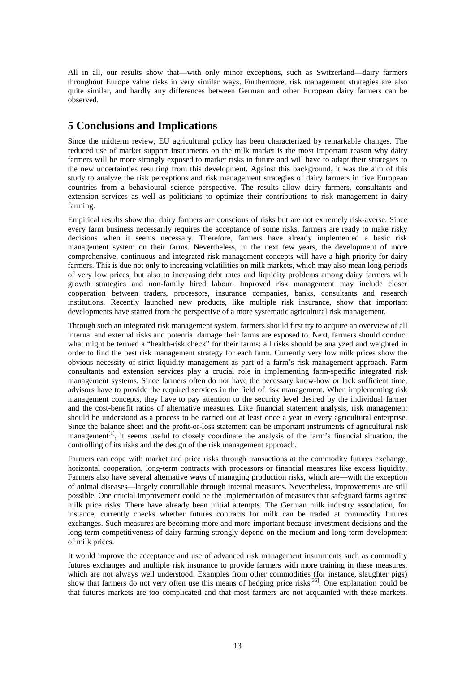All in all, our results show that—with only minor exceptions, such as Switzerland—dairy farmers throughout Europe value risks in very similar ways. Furthermore, risk management strategies are also quite similar, and hardly any differences between German and other European dairy farmers can be observed.

# **5 Conclusions and Implications**

Since the midterm review, EU agricultural policy has been characterized by remarkable changes. The reduced use of market support instruments on the milk market is the most important reason why dairy farmers will be more strongly exposed to market risks in future and will have to adapt their strategies to the new uncertainties resulting from this development. Against this background, it was the aim of this study to analyze the risk perceptions and risk management strategies of dairy farmers in five European countries from a behavioural science perspective. The results allow dairy farmers, consultants and extension services as well as politicians to optimize their contributions to risk management in dairy farming.

Empirical results show that dairy farmers are conscious of risks but are not extremely risk-averse. Since every farm business necessarily requires the acceptance of some risks, farmers are ready to make risky decisions when it seems necessary. Therefore, farmers have already implemented a basic risk management system on their farms. Nevertheless, in the next few years, the development of more comprehensive, continuous and integrated risk management concepts will have a high priority for dairy farmers. This is due not only to increasing volatilities on milk markets, which may also mean long periods of very low prices, but also to increasing debt rates and liquidity problems among dairy farmers with growth strategies and non-family hired labour. Improved risk management may include closer cooperation between traders, processors, insurance companies, banks, consultants and research institutions. Recently launched new products, like multiple risk insurance, show that important developments have started from the perspective of a more systematic agricultural risk management.

Through such an integrated risk management system, farmers should first try to acquire an overview of all internal and external risks and potential damage their farms are exposed to. Next, farmers should conduct what might be termed a "health-risk check" for their farms: all risks should be analyzed and weighted in order to find the best risk management strategy for each farm. Currently very low milk prices show the obvious necessity of strict liquidity management as part of a farm's risk management approach. Farm consultants and extension services play a crucial role in implementing farm-specific integrated risk management systems. Since farmers often do not have the necessary know-how or lack sufficient time, advisors have to provide the required services in the field of risk management. When implementing risk management concepts, they have to pay attention to the security level desired by the individual farmer and the cost-benefit ratios of alternative measures. Like financial statement analysis, risk management should be understood as a process to be carried out at least once a year in every agricultural enterprise. Since the balance sheet and the profit-or-loss statement can be important instruments of agricultural risk management<sup>[1]</sup>, it seems useful to closely coordinate the analysis of the farm's financial situation, the controlling of its risks and the design of the risk management approach.

Farmers can cope with market and price risks through transactions at the commodity futures exchange, horizontal cooperation, long-term contracts with processors or financial measures like excess liquidity. Farmers also have several alternative ways of managing production risks, which are—with the exception of animal diseases—largely controllable through internal measures. Nevertheless, improvements are still possible. One crucial improvement could be the implementation of measures that safeguard farms against milk price risks. There have already been initial attempts. The German milk industry association, for instance, currently checks whether futures contracts for milk can be traded at commodity futures exchanges. Such measures are becoming more and more important because investment decisions and the long-term competitiveness of dairy farming strongly depend on the medium and long-term development of milk prices.

It would improve the acceptance and use of advanced risk management instruments such as commodity futures exchanges and multiple risk insurance to provide farmers with more training in these measures, which are not always well understood. Examples from other commodities (for instance, slaughter pigs) show that farmers do not very often use this means of hedging price risks<sup>[36]</sup>. One explanation could be that futures markets are too complicated and that most farmers are not acquainted with these markets.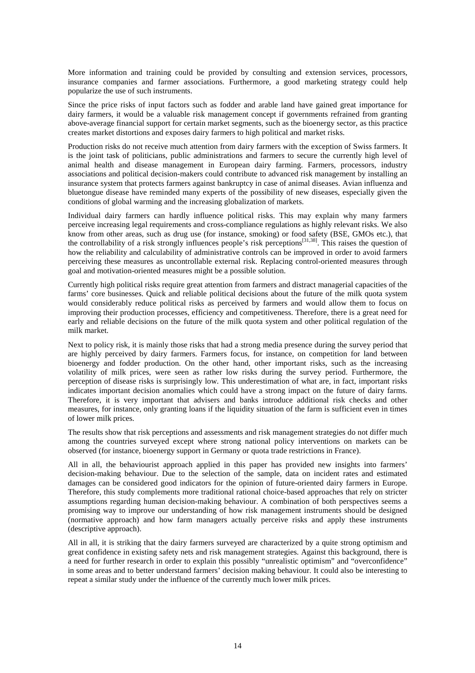More information and training could be provided by consulting and extension services, processors, insurance companies and farmer associations. Furthermore, a good marketing strategy could help popularize the use of such instruments.

Since the price risks of input factors such as fodder and arable land have gained great importance for dairy farmers, it would be a valuable risk management concept if governments refrained from granting above-average financial support for certain market segments, such as the bioenergy sector, as this practice creates market distortions and exposes dairy farmers to high political and market risks.

Production risks do not receive much attention from dairy farmers with the exception of Swiss farmers. It is the joint task of politicians, public administrations and farmers to secure the currently high level of animal health and disease management in European dairy farming. Farmers, processors, industry associations and political decision-makers could contribute to advanced risk management by installing an insurance system that protects farmers against bankruptcy in case of animal diseases. Avian influenza and bluetongue disease have reminded many experts of the possibility of new diseases, especially given the conditions of global warming and the increasing globalization of markets.

Individual dairy farmers can hardly influence political risks. This may explain why many farmers perceive increasing legal requirements and cross-compliance regulations as highly relevant risks. We also know from other areas, such as drug use (for instance, smoking) or food safety (BSE, GMOs etc.), that the controllability of a risk strongly influences people's risk perceptions<sup>[31,38]</sup>. This raises the question of how the reliability and calculability of administrative controls can be improved in order to avoid farmers perceiving these measures as uncontrollable external risk. Replacing control-oriented measures through goal and motivation-oriented measures might be a possible solution.

Currently high political risks require great attention from farmers and distract managerial capacities of the farms' core businesses. Quick and reliable political decisions about the future of the milk quota system would considerably reduce political risks as perceived by farmers and would allow them to focus on improving their production processes, efficiency and competitiveness. Therefore, there is a great need for early and reliable decisions on the future of the milk quota system and other political regulation of the milk market.

Next to policy risk, it is mainly those risks that had a strong media presence during the survey period that are highly perceived by dairy farmers. Farmers focus, for instance, on competition for land between bioenergy and fodder production. On the other hand, other important risks, such as the increasing volatility of milk prices, were seen as rather low risks during the survey period. Furthermore, the perception of disease risks is surprisingly low. This underestimation of what are, in fact, important risks indicates important decision anomalies which could have a strong impact on the future of dairy farms. Therefore, it is very important that advisers and banks introduce additional risk checks and other measures, for instance, only granting loans if the liquidity situation of the farm is sufficient even in times of lower milk prices.

The results show that risk perceptions and assessments and risk management strategies do not differ much among the countries surveyed except where strong national policy interventions on markets can be observed (for instance, bioenergy support in Germany or quota trade restrictions in France).

All in all, the behaviourist approach applied in this paper has provided new insights into farmers' decision-making behaviour. Due to the selection of the sample, data on incident rates and estimated damages can be considered good indicators for the opinion of future-oriented dairy farmers in Europe. Therefore, this study complements more traditional rational choice-based approaches that rely on stricter assumptions regarding human decision-making behaviour. A combination of both perspectives seems a promising way to improve our understanding of how risk management instruments should be designed (normative approach) and how farm managers actually perceive risks and apply these instruments (descriptive approach).

All in all, it is striking that the dairy farmers surveyed are characterized by a quite strong optimism and great confidence in existing safety nets and risk management strategies. Against this background, there is a need for further research in order to explain this possibly "unrealistic optimism" and "overconfidence" in some areas and to better understand farmers' decision making behaviour. It could also be interesting to repeat a similar study under the influence of the currently much lower milk prices.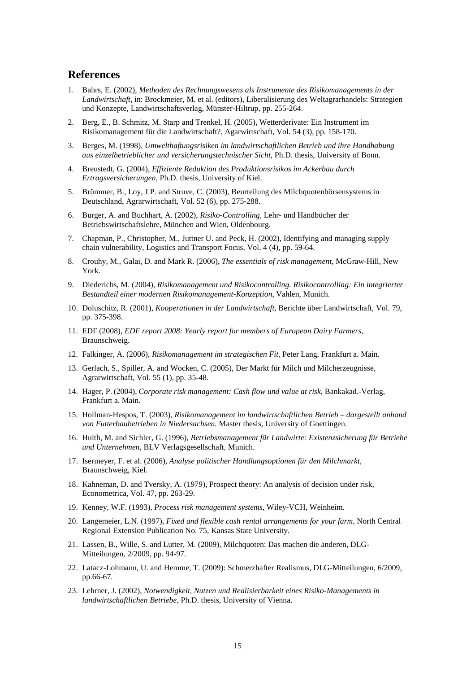## **References**

- 1. Bahrs, E. (2002), *Methoden des Rechnungswesens als Instrumente des Risikomanagements in der Landwirtschaft*, in: Brockmeier, M. et al. (editors), Liberalisierung des Weltagrarhandels: Strategien und Konzepte, Landwirtschaftsverlag, Münster-Hiltrup, pp. 255-264.
- 2. Berg, E., B. Schmitz, M. Starp and Trenkel, H. (2005), Wetterderivate: Ein Instrument im Risikomanagement für die Landwirtschaft?, Agarwirtschaft, Vol. 54 (3), pp. 158-170.
- 3. Berges, M. (1998), *Umwelthaftungsrisiken im landwirtschaftlichen Betrieb und ihre Handhabung aus einzelbetrieblicher und versicherungstechnischer Sicht*, Ph.D. thesis, University of Bonn.
- 4. Breustedt, G. (2004), *Effiziente Reduktion des Produktionsrisikos im Ackerbau durch Ertragsversicherungen*, Ph.D. thesis, University of Kiel.
- 5. Brümmer, B., Loy, J.P. and Struve, C. (2003), Beurteilung des Milchquotenbörsensystems in Deutschland, Agrarwirtschaft, Vol. 52 (6), pp. 275-288.
- 6. Burger, A. and Buchhart, A. (2002), *Risiko-Controlling*, Lehr- und Handbücher der Betriebswirtschaftslehre, München and Wien, Oldenbourg.
- 7. Chapman, P., Christopher, M., Juttner U. and Peck, H. (2002), Identifying and managing supply chain vulnerability, Logistics and Transport Focus, Vol. 4 (4), pp. 59-64.
- 8. Crouhy, M., Galai, D. and Mark R. (2006), *The essentials of risk management*, McGraw-Hill, New York.
- 9. Diederichs, M. (2004), *Risikomanagement und Risikocontrolling. Risikocontrolling: Ein integrierter Bestandteil einer modernen Risikomanagement-Konzeption*, Vahlen, Munich.
- 10. Doluschitz, R. (2001), *Kooperationen in der Landwirtschaft*, Berichte über Landwirtschaft, Vol. 79, pp. 375-398.
- 11. EDF (2008), *EDF report 2008: Yearly report for members of European Dairy Farmers*, Braunschweig.
- 12. Falkinger, A. (2006), *Risikomanagement im strategischen Fit*, Peter Lang, Frankfurt a. Main.
- 13. Gerlach, S., Spiller, A. and Wocken, C. (2005), Der Markt für Milch und Milcherzeugnisse, Agrarwirtschaft, Vol. 55 (1), pp. 35-48.
- 14. Hager, P. (2004), *Corporate risk management: Cash flow und value at risk*, Bankakad.-Verlag, Frankfurt a. Main.
- 15. Hollman-Hespos, T. (2003), *Risikomanagement im landwirtschaftlichen Betrieb dargestellt anhand von Futterbaubetrieben in Niedersachsen.* Master thesis, University of Goettingen.
- 16. Huith, M. and Sichler, G. (1996), *Betriebsmanagement für Landwirte: Existenzsicherung für Betriebe und Unternehmen*, BLV Verlagsgesellschaft, Munich.
- 17. Isermeyer, F. et al. (2006), *Analyse politischer Handlungsoptionen für den Milchmarkt*, Braunschweig, Kiel.
- 18. Kahneman, D. and Tversky, A. (1979), Prospect theory: An analysis of decision under risk, Econometrica, Vol. 47, pp. 263-29.
- 19. Kenney, W.F. (1993), *Process risk management systems*, Wiley-VCH, Weinheim.
- 20. Langemeier, L.N. (1997), *Fixed and flexible cash rental arrangements for your farm*, North Central Regional Extension Publication No. 75, Kansas State University.
- 21. Lassen, B., Wille, S. and Lutter, M. (2009), Milchquoten: Das machen die anderen, DLG-Mitteilungen, 2/2009, pp. 94-97.
- 22. Latacz-Lohmann, U. and Hemme, T. (2009): Schmerzhafter Realismus, DLG-Mitteilungen, 6/2009, pp.66-67.
- 23. Lehrner, J. (2002), *Notwendigkeit, Nutzen und Realisierbarkeit eines Risiko-Managements in landwirtschaftlichen Betriebe*, Ph.D. thesis, University of Vienna.